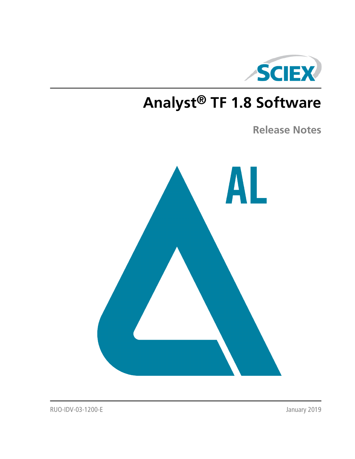

# **Analyst® TF 1.8 Software**

**Release Notes**



RUO-IDV-03-1200-E January 2019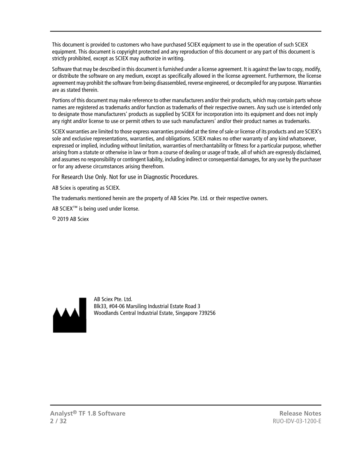This document is provided to customers who have purchased SCIEX equipment to use in the operation of such SCIEX equipment. This document is copyright protected and any reproduction of this document or any part of this document is strictly prohibited, except as SCIEX may authorize in writing.

Software that may be described in this document is furnished under a license agreement. It is against the law to copy, modify, or distribute the software on any medium, except as specifically allowed in the license agreement. Furthermore, the license agreement may prohibit the software from being disassembled, reverse engineered, or decompiled for any purpose. Warranties are as stated therein.

Portions of this document may make reference to other manufacturers and/or their products, which may contain parts whose names are registered as trademarks and/or function as trademarks of their respective owners. Any such use is intended only to designate those manufacturers' products as supplied by SCIEX for incorporation into its equipment and does not imply any right and/or license to use or permit others to use such manufacturers' and/or their product names as trademarks.

SCIEX warranties are limited to those express warranties provided at the time of sale or license of its products and are SCIEX's sole and exclusive representations, warranties, and obligations. SCIEX makes no other warranty of any kind whatsoever, expressed or implied, including without limitation, warranties of merchantability or fitness for a particular purpose, whether arising from a statute or otherwise in law or from a course of dealing or usage of trade, all of which are expressly disclaimed, and assumes no responsibility or contingent liability, including indirect or consequential damages, for any use by the purchaser or for any adverse circumstances arising therefrom.

For Research Use Only. Not for use in Diagnostic Procedures.

AB Sciex is operating as SCIEX.

The trademarks mentioned herein are the property of AB Sciex Pte. Ltd. or their respective owners.

AB SCIEX<sup>™</sup> is being used under license.

 $\circ$  2019 AB Sciex



AB Sciex Pte. Ltd. Blk33, #04-06 Marsiling Industrial Estate Road 3 Woodlands Central Industrial Estate, Singapore 739256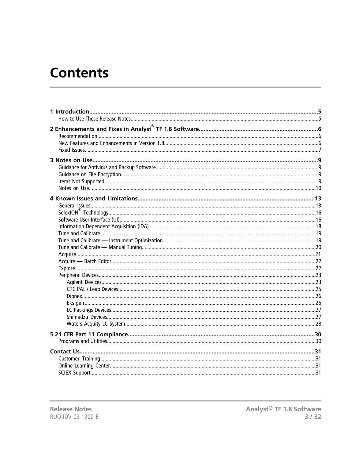# **Contents**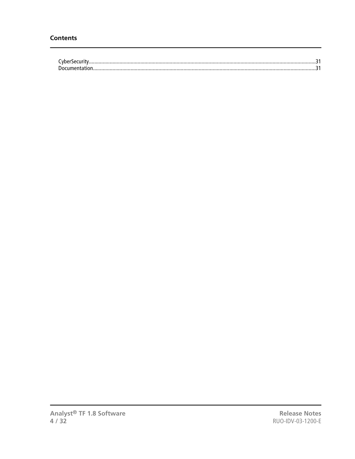| . |
|---|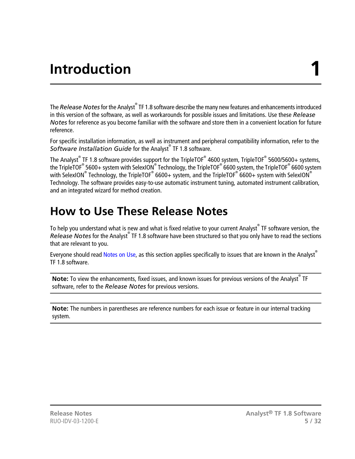# **Introduction 1**

<span id="page-4-0"></span>The *Release Notes* for the Analyst® TF 1.8 software describe the many new features and enhancements introduced in this version of the software, as well as workarounds for possible issues and limitations. Use these *Release Notes* for reference as you become familiar with the software and store them in a convenient location for future reference.

For specific installation information, as well as instrument and peripheral compatibility information, refer to the *Software Installation Guide* for the Analyst® TF 1.8 software.

The Analyst<sup>®</sup> TF 1.8 software provides support for the TripleTOF® 4600 system, TripleTOF® 5600/5600+ systems, the TripleTOF® 5600+ system with SelexION® Technology, the TripleTOF® 6600 system, the TripleTOF® 6600 system with SelexION® Technology, the TripleTOF® 6600+ system, and the TripleTOF® 6600+ system with SelexION® Technology. The software provides easy-to-use automatic instrument tuning, automated instrument calibration, and an integrated wizard for method creation.

### <span id="page-4-1"></span>**How to Use These Release Notes**

To help you understand what is new and what is fixed relative to your current Analyst $\degree$  TF software version, the Release Notes for the Analyst<sup>®</sup> TF 1.8 software have been structured so that you only have to read the sections that are relevant to you.

Everyone should read [Notes on Use](#page-8-0), as this section applies specifically to issues that are known in the Analyst® TF 1.8 software.

Note: To view the enhancements, fixed issues, and known issues for previous versions of the Analyst<sup>®</sup> TF software, refer to the *Release Notes* for previous versions.

**Note:** The numbers in parentheses are reference numbers for each issue or feature in our internal tracking system.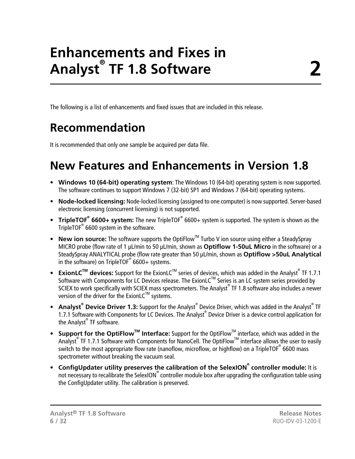# **Enhancements and Fixes in Analyst® TF 1.8 Software**

<span id="page-5-1"></span><span id="page-5-0"></span>The following is a list of enhancements and fixed issues that are included in this release.

### **Recommendation**

<span id="page-5-2"></span>It is recommended that only one sample be acquired per data file.

## **New Features and Enhancements in Version 1.8**

- **Windows 10 (64-bit) operating system**: The Windows 10 (64-bit) operating system is now supported. The software continues to support Windows 7 (32-bit) SP1 and Windows 7 (64-bit) operating systems.
- **Node-locked licensing:** Node-locked licensing (assigned to one computer) is now supported. Server-based electronic licensing (concurrent licensing) is not supported.
- **TripleTOF<sup>®</sup> 6600+ system:** The new TripleTOF<sup>®</sup> 6600+ system is supported. The system is shown as the TripleTOF® 6600 system in the software.
- New ion source: The software supports the OptiFlow<sup>™</sup> Turbo V ion source using either a SteadySpray MICRO probe (flow rate of 1 μL/min to 50 μL/min, shown as **Optiflow 1-50uL Micro** in the software) or a SteadySpray ANALYTICAL probe (flow rate greater than 50 μL/min, shown as **Optiflow >50uL Analytical** in the software) on TripleTOF® 6600+ systems.
- **ExionLC<sup>™</sup> devices:** Support for the ExionLC<sup>™</sup> series of devices, which was added in the Analyst<sup>®</sup> TF 1.7.1 Software with Components for LC Devices release. The ExionLC™ Series is an LC system series provided by SCIEX to work specifically with SCIEX mass spectrometers. The Analyst® TF 1.8 software also includes a newer version of the driver for the ExionL $C^{TM}$  systems.
- **Analyst<sup>®</sup> Device Driver 1.3:** Support for the Analyst<sup>®</sup> Device Driver, which was added in the Analyst<sup>®</sup> TF 1.7.1 Software with Components for LC Devices. The Analyst® Device Driver is a device control application for the Analyst<sup>®</sup> TF software.
- **Support for the OptiFlowTM Interface:** Support for the OptiFlowTM interface, which was added in the Analyst<sup>®</sup> TF 1.7.1 Software with Components for NanoCell. The OptiFlow<sup>™</sup> interface allows the user to easily switch to the most appropriate flow rate (nanoflow, microflow, or highflow) on a TripleTOF® 6600 mass spectrometer without breaking the vacuum seal.
- **ConfigUpdater utility preserves the calibration of the SelexION® controller module:** It is not necessary to recalibrate the SelexION® controller module box after upgrading the configuration table using the ConfigUpdater utility. The calibration is preserved.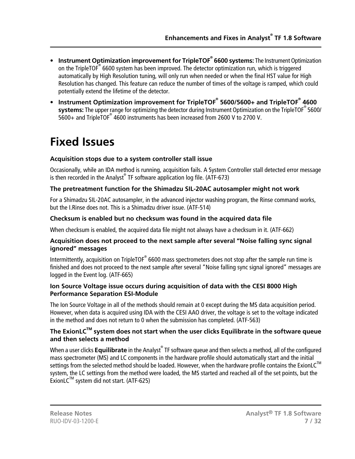- **Instrument Optimization improvement for TripleTOF® 6600 systems:** The Instrument Optimization on the TripleTOF® 6600 system has been improved. The detector optimization run, which is triggered automatically by High Resolution tuning, will only run when needed or when the final HST value for High Resolution has changed. This feature can reduce the number of times of the voltage is ramped, which could potentially extend the lifetime of the detector.
- **Instrument Optimization improvement for TripleTOF® 5600/5600+ and TripleTOF® 4600 systems:** The upper range for optimizing the detector during Instrument Optimization on the TripleTOF® 5600/ 5600+ and TripleTOF® 4600 instruments has been increased from 2600 V to 2700 V.

## <span id="page-6-0"></span>**Fixed Issues**

#### **Acquisition stops due to a system controller stall issue**

Occasionally, while an IDA method is running, acquisition fails. A System Controller stall detected error message is then recorded in the Analyst® TF software application log file. (ATF-673)

#### **The pretreatment function for the Shimadzu SIL-20AC autosampler might not work**

For a Shimadzu SIL-20AC autosampler, in the advanced injector washing program, the Rinse command works, but the I.Rinse does not. This is a Shimadzu driver issue. (ATF-514)

#### **Checksum is enabled but no checksum was found in the acquired data file**

When checksum is enabled, the acquired data file might not always have a checksum in it. (ATF-662)

#### **Acquisition does not proceed to the next sample after several "Noise falling sync signal ignored" messages**

Intermittently, acquisition on TripleTOF<sup>®</sup> 6600 mass spectrometers does not stop after the sample run time is finished and does not proceed to the next sample after several "Noise falling sync signal ignored" messages are logged in the Event log. (ATF-665)

#### **Ion Source Voltage issue occurs during acquisition of data with the CESI 8000 High Performance Separation ESI-Module**

The Ion Source Voltage in all of the methods should remain at 0 except during the MS data acquisition period. However, when data is acquired using IDA with the CESI AAO driver, the voltage is set to the voltage indicated in the method and does not return to 0 when the submission has completed. (ATF-563)

#### **The ExionLCTM system does not start when the user clicks Equilibrate in the software queue and then selects a method**

When a user clicks **Equilibrate** in the Analyst® TF software queue and then selects a method, all of the configured mass spectrometer (MS) and LC components in the hardware profile should automatically start and the initial settings from the selected method should be loaded. However, when the hardware profile contains the ExionLC<sup>TM</sup> system, the LC settings from the method were loaded, the MS started and reached all of the set points, but the  $ExionLC^{TM}$  system did not start. (ATF-625)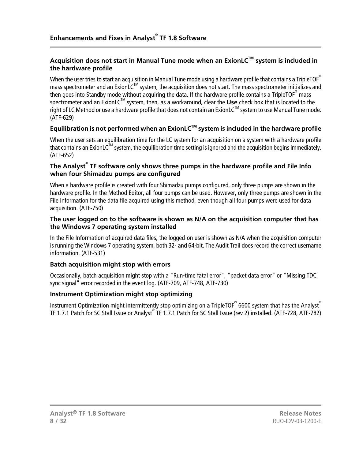#### **Acquisition does not start in Manual Tune mode when an ExionLCTM system is included in the hardware profile**

When the user tries to start an acquisition in Manual Tune mode using a hardware profile that contains a TripleTOF<sup>®</sup> mass spectrometer and an ExionLC<sup>TM</sup> system, the acquisition does not start. The mass spectrometer initializes and then goes into Standby mode without acquiring the data. If the hardware profile contains a TripleTOF $^\circ$  mass spectrometer and an ExionLC<sup>™</sup> system, then, as a workaround, clear the Use check box that is located to the right of LC Method or use a hardware profile that does not contain an ExionLC™ system to use Manual Tune mode. (ATF-629)

#### **Equilibration is not performed when an ExionLCTM system is included in the hardware profile**

When the user sets an equilibration time for the LC system for an acquisition on a system with a hardware profile that contains an ExionLC<sup>TM</sup> system, the equilibration time setting is ignored and the acquisition begins immediately. (ATF-652)

#### **The Analyst® TF software only shows three pumps in the hardware profile and File Info when four Shimadzu pumps are configured**

When a hardware profile is created with four Shimadzu pumps configured, only three pumps are shown in the hardware profile. In the Method Editor, all four pumps can be used. However, only three pumps are shown in the File Information for the data file acquired using this method, even though all four pumps were used for data acquisition. (ATF-750)

#### **The user logged on to the software is shown as N/A on the acquisition computer that has the Windows 7 operating system installed**

In the File Information of acquired data files, the logged-on user is shown as N/A when the acquisition computer is running the Windows 7 operating system, both 32- and 64-bit. The Audit Trail does record the correct username information. (ATF-531)

#### **Batch acquisition might stop with errors**

Occasionally, batch acquisition might stop with a "Run-time fatal error", "packet data error" or "Missing TDC sync signal" error recorded in the event log. (ATF-709, ATF-748, ATF-730)

#### **Instrument Optimization might stop optimizing**

Instrument Optimization might intermittently stop optimizing on a TripleTOF $^\circ$  6600 system that has the Analyst $^\circ$ TF 1.7.1 Patch for SC Stall Issue or Analyst® TF 1.7.1 Patch for SC Stall Issue (rev 2) installed. (ATF-728, ATF-782)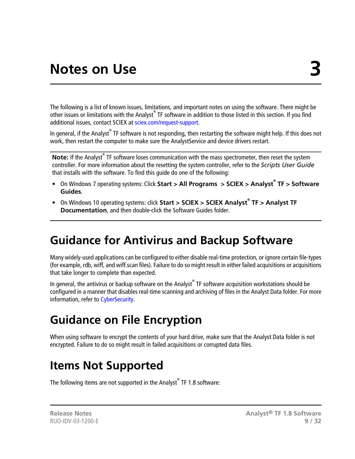<span id="page-8-0"></span>The following is a list of known issues, limitations, and important notes on using the software. There might be other issues or limitations with the Analyst® TF software in addition to those listed in this section. If you find additional issues, contact SCIEX at [sciex.com/request-support.](https://sciex.com/request-support)

In general, if the Analyst® TF software is not responding, then restarting the software might help. If this does not work, then restart the computer to make sure the AnalystService and device drivers restart.

Note: If the Analyst<sup>®</sup> TF software loses communication with the mass spectrometer, then reset the system controller. For more information about the resetting the system controller, refer to the *Scripts User Guide* that installs with the software. To find this guide do one of the following:

- On Windows 7 operating systems: Click **Start > All Programs > SCIEX > Analyst® TF > Software Guides**.
- <span id="page-8-1"></span>• On Windows 10 operating systems: click **Start > SCIEX > SCIEX Analyst® TF > Analyst TF Documentation**, and then double-click the Software Guides folder.

### **Guidance for Antivirus and Backup Software**

Many widely-used applications can be configured to either disable real-time protection, or ignore certain file-types (for example, rdb, wiff, and wiff.scan files). Failure to do so might result in either failed acquisitions or acquisitions that take longer to complete than expected.

<span id="page-8-2"></span>In general, the antivirus or backup software on the Analyst® TF software acquisition workstations should be configured in a manner that disables real-time scanning and archiving of files in the Analyst Data folder. For more information, refer to [CyberSecurity](#page-30-4).

### **Guidance on File Encryption**

<span id="page-8-3"></span>When using software to encrypt the contents of your hard drive, make sure that the Analyst Data folder is not encrypted. Failure to do so might result in failed acquisitions or corrupted data files.

### **Items Not Supported**

The following items are not supported in the Analyst® TF 1.8 software: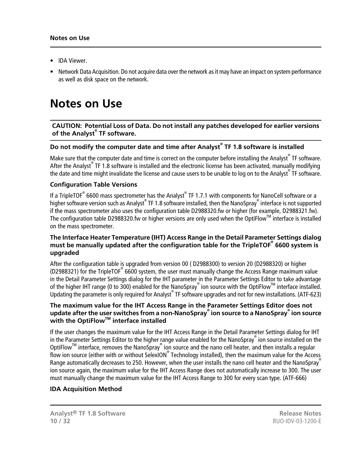- IDA Viewer.
- Network Data Acquisition. Do not acquire data over the network as it may have an impact on system performance as well as disk space on the network.

### <span id="page-9-0"></span>**Notes on Use**

#### **CAUTION: Potential Loss of Data. Do not install any patches developed for earlier versions of the Analyst® TF software.**

#### **Do not modify the computer date and time after Analyst® TF 1.8 software is installed**

Make sure that the computer date and time is correct on the computer before installing the Analyst® TF software. After the Analyst® TF 1.8 software is installed and the electronic license has been activated, manually modifying the date and time might invalidate the license and cause users to be unable to log on to the Analyst® TF software.

#### **Configuration Table Versions**

If a TripleTOF® 6600 mass spectrometer has the Analyst® TF 1.7.1 with components for NanoCell software or a higher software version such as Analyst® TF 1.8 software installed, then the NanoSpray® interface is not supported if the mass spectrometer also uses the configuration table D2988320.fw or higher (for example, D2988321.fw). The configuration table D2988320.fw or higher versions are only used when the OptiFlow<sup>TM</sup> interface is installed on the mass spectrometer.

#### **The Interface Heater Temperature (IHT) Access Range in the Detail Parameter Settings dialog must be manually updated after the configuration table for the TripleTOF® 6600 system is upgraded**

After the configuration table is upgraded from version 00 ( D2988300) to version 20 (D2988320) or higher (D2988321) for the TripleTOF<sup>®</sup> 6600 system, the user must manually change the Access Range maximum value in the Detail Parameter Settings dialog for the IHT parameter in the Parameter Settings Editor to take advantage of the higher IHT range (0 to 300) enabled for the NanoSpray® ion source with the OptiFlow™ interface installed. Updating the parameter is only required for Analyst® TF software upgrades and not for new installations. (ATF-623)

#### **The maximum value for the IHT Access Range in the Parameter Settings Editor does not update after the user switches from a non-NanoSpray® ion source to a NanoSpray® ion source with the OptiFlowTM interface installed**

If the user changes the maximum value for the IHT Access Range in the Detail Parameter Settings dialog for IHT in the Parameter Settings Editor to the higher range value enabled for the NanoSpray® ion source installed on the OptiFlow<sup>™</sup> interface, removes the NanoSpray® ion source and the nano cell heater, and then installs a regular flow ion source (either with or without SelexION® Technology installed), then the maximum value for the Access Range automatically decreases to 250. However, when the user installs the nano cell heater and the NanoSpray<sup>®</sup> ion source again, the maximum value for the IHT Access Range does not automatically increase to 300. The user must manually change the maximum value for the IHT Access Range to 300 for every scan type. (ATF-666)

#### **IDA Acquisition Method**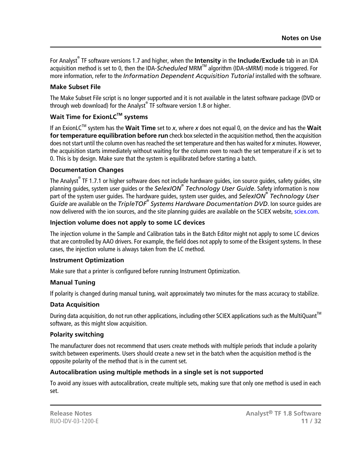For Analyst® TF software versions 1.7 and higher, when the **Intensity** in the **Include/Exclude** tab in an IDA acquisition method is set to 0, then the IDA-Scheduled MRM<sup>™</sup> algorithm (IDA-sMRM) mode is triggered. For more information, refer to the *Information Dependent Acquisition Tutorial* installed with the software.

#### **Make Subset File**

The Make Subset File script is no longer supported and it is not available in the latest software package (DVD or through web download) for the Analyst® TF software version 1.8 or higher.

#### **Wait Time for ExionLCTM systems**

If an ExionLCTM system has the **Wait Time** set to *x*, where *x* does not equal 0, on the device and has the **Wait for temperature equilibration before run** check box selected in the acquisition method, then the acquisition does not start until the column oven has reached the set temperature and then has waited for *x* minutes. However, the acquisition starts immediately without waiting for the column oven to reach the set temperature if *x* is set to 0. This is by design. Make sure that the system is equilibrated before starting a batch.

#### **Documentation Changes**

The Analyst<sup>®</sup> TF 1.7.1 or higher software does not include hardware guides, ion source guides, safety guides, site planning guides, system user guides or the *SelexION® Technology User Guide*. Safety information is now part of the system user guides. The hardware guides, system user guides, and *SelexION® Technology User Guide* are available on the *TripleTOF® Systems Hardware Documentation DVD*. Ion source guides are now delivered with the ion sources, and the site planning guides are available on the SCIEX website, [sciex.com.](https://sciex.com)

#### **Injection volume does not apply to some LC devices**

The injection volume in the Sample and Calibration tabs in the Batch Editor might not apply to some LC devices that are controlled by AAO drivers. For example, the field does not apply to some of the Eksigent systems. In these cases, the injection volume is always taken from the LC method.

#### **Instrument Optimization**

Make sure that a printer is configured before running Instrument Optimization.

#### **Manual Tuning**

If polarity is changed during manual tuning, wait approximately two minutes for the mass accuracy to stabilize.

#### **Data Acquisition**

During data acquisition, do not run other applications, including other SCIEX applications such as the MultiQuant<sup>TM</sup> software, as this might slow acquisition.

#### **Polarity switching**

The manufacturer does not recommend that users create methods with multiple periods that include a polarity switch between experiments. Users should create a new set in the batch when the acquisition method is the opposite polarity of the method that is in the current set.

#### **Autocalibration using multiple methods in a single set is not supported**

To avoid any issues with autocalibration, create multiple sets, making sure that only one method is used in each set.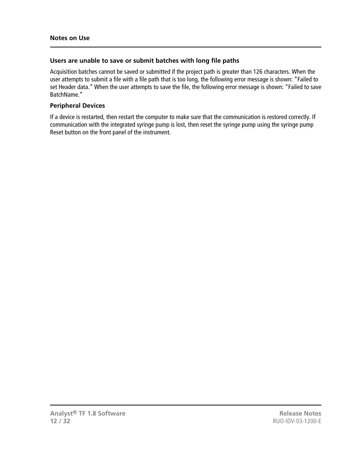#### **Users are unable to save or submit batches with long file paths**

Acquisition batches cannot be saved or submitted if the project path is greater than 126 characters. When the user attempts to submit a file with a file path that is too long, the following error message is shown: "Failed to set Header data." When the user attempts to save the file, the following error message is shown: "Failed to save BatchName."

#### **Peripheral Devices**

If a device is restarted, then restart the computer to make sure that the communication is restored correctly. If communication with the integrated syringe pump is lost, then reset the syringe pump using the syringe pump Reset button on the front panel of the instrument.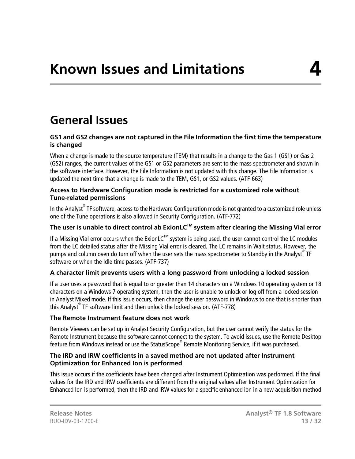### <span id="page-12-1"></span><span id="page-12-0"></span>**General Issues**

#### **GS1 and GS2 changes are not captured in the File Information the first time the temperature is changed**

When a change is made to the source temperature (TEM) that results in a change to the Gas 1 (GS1) or Gas 2 (GS2) ranges, the current values of the GS1 or GS2 parameters are sent to the mass spectrometer and shown in the software interface. However, the File Information is not updated with this change. The File Information is updated the next time that a change is made to the TEM, GS1, or GS2 values. (ATF-663)

#### **Access to Hardware Configuration mode is restricted for a customized role without Tune-related permissions**

In the Analyst® TF software, access to the Hardware Configuration mode is not granted to a customized role unless one of the Tune operations is also allowed in Security Configuration. (ATF-772)

#### **The user is unable to direct control ab ExionLCTM system after clearing the Missing Vial error**

If a Missing Vial error occurs when the ExionLC<sup>TM</sup> system is being used, the user cannot control the LC modules from the LC detailed status after the Missing Vial error is cleared. The LC remains in Wait status. However, the pumps and column oven do turn off when the user sets the mass spectrometer to Standby in the Analyst® TF software or when the Idle time passes. (ATF-737)

#### **A character limit prevents users with a long password from unlocking a locked session**

If a user uses a password that is equal to or greater than 14 characters on a Windows 10 operating system or 18 characters on a Windows 7 operating system, then the user is unable to unlock or log off from a locked session in Analyst Mixed mode. If this issue occurs, then change the user password in Windows to one that is shorter than this Analyst® TF software limit and then unlock the locked session. (ATF-778)

#### **The Remote Instrument feature does not work**

Remote Viewers can be set up in Analyst Security Configuration, but the user cannot verify the status for the Remote Instrument because the software cannot connect to the system. To avoid issues, use the Remote Desktop feature from Windows instead or use the StatusScope® Remote Monitoring Service, if it was purchased.

#### **The IRD and IRW coefficients in a saved method are not updated after Instrument Optimization for Enhanced Ion is performed**

This issue occurs if the coefficients have been changed after Instrument Optimization was performed. If the final values for the IRD and IRW coefficients are different from the original values after Instrument Optimization for Enhanced Ion is performed, then the IRD and IRW values for a specific enhanced ion in a new acquisition method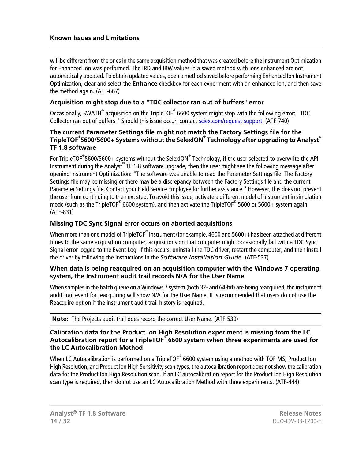will be different from the ones in the same acquisition method that was created before the Instrument Optimization for Enhanced Ion was performed. The IRD and IRW values in a saved method with ions enhanced are not automatically updated. To obtain updated values, open a method saved before performing Enhanced Ion Instrument Optimization, clear and select the **Enhance** checkbox for each experiment with an enhanced ion, and then save the method again. (ATF-667)

#### **Acquisition might stop due to a "TDC collector ran out of buffers" error**

Occasionally, SWATH<sup>®</sup> acquisition on the TripleTOF<sup>®</sup> 6600 system might stop with the following error: "TDC Collector ran out of buffers." Should this issue occur, contact [sciex.com/request-support](https://sciex.com/request-support). (ATF-740)

#### **The current Parameter Settings file might not match the Factory Settings file for the TripleTOF® 5600/5600+ Systems without the SelexION® Technology after upgrading to Analyst® TF 1.8 software**

For TripleTOF $^\circ$ 5600/5600+ systems without the SelexION $^\circ$  Technology, if the user selected to overwrite the API Instrument during the Analyst® TF 1.8 software upgrade, then the user might see the following message after opening Instrument Optimization: "The software was unable to read the Parameter Settings file. The Factory Settings file may be missing or there may be a discrepancy between the Factory Settings file and the current Parameter Settings file. Contact your Field Service Employee for further assistance." However, this does not prevent the user from continuing to the next step. To avoid this issue, activate a different model of instrument in simulation mode (such as the TripleTOF® 6600 system), and then activate the TripleTOF® 5600 or 5600+ system again. (ATF-831)

#### **Missing TDC Sync Signal error occurs on aborted acquisitions**

When more than one model of TripleTOF $^\circ$  instrument (for example, 4600 and 5600+) has been attached at different times to the same acquisition computer, acquisitions on that computer might occasionally fail with a TDC Sync Signal error logged to the Event Log. If this occurs, uninstall the TDC driver, restart the computer, and then install the driver by following the instructions in the *Software Installation Guide*. (ATF-537)

#### **When data is being reacquired on an acquisition computer with the Windows 7 operating system, the Instrument audit trail records N/A for the User Name**

When samples in the batch queue on a Windows 7 system (both 32- and 64-bit) are being reacquired, the instrument audit trail event for reacquiring will show N/A for the User Name. It is recommended that users do not use the Reacquire option if the instrument audit trail history is required.

**Note:** The Projects audit trail does record the correct User Name. (ATF-530)

#### **Calibration data for the Product ion High Resolution experiment is missing from the LC Autocalibration report for a TripleTOF® 6600 system when three experiments are used for the LC Autocalibration Method**

When LC Autocalibration is performed on a TripleTOF® 6600 system using a method with TOF MS, Product Ion High Resolution, and Product Ion High Sensitivity scan types, the autocalibration report does not show the calibration data for the Product Ion High Resolution scan. If an LC autocalibration report for the Product Ion High Resolution scan type is required, then do not use an LC Autocalibration Method with three experiments. (ATF-444)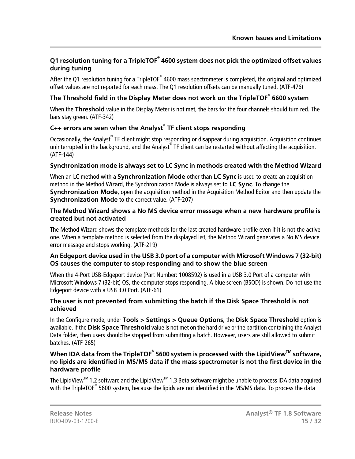#### **Q1 resolution tuning for a TripleTOF® 4600 system does not pick the optimized offset values during tuning**

After the Q1 resolution tuning for a TripleTOF® 4600 mass spectrometer is completed, the original and optimized offset values are not reported for each mass. The Q1 resolution offsets can be manually tuned. (ATF-476)

#### **The Threshold field in the Display Meter does not work on the TripleTOF® 6600 system**

When the **Threshold** value in the Display Meter is not met, the bars for the four channels should turn red. The bars stay green. (ATF-342)

#### **C++ errors are seen when the Analyst® TF client stops responding**

Occasionally, the Analyst® TF client might stop responding or disappear during acquisition. Acquisition continues uninterrupted in the background, and the Analyst® TF client can be restarted without affecting the acquisition. (ATF-144)

#### **Synchronization mode is always set to LC Sync in methods created with the Method Wizard**

When an LC method with a **Synchronization Mode** other than **LC Sync** is used to create an acquisition method in the Method Wizard, the Synchronization Mode is always set to **LC Sync**. To change the **Synchronization Mode**, open the acquisition method in the Acquisition Method Editor and then update the **Synchronization Mode** to the correct value. (ATF-207)

#### **The Method Wizard shows a No MS device error message when a new hardware profile is created but not activated**

The Method Wizard shows the template methods for the last created hardware profile even if it is not the active one. When a template method is selected from the displayed list, the Method Wizard generates a No MS device error message and stops working. (ATF-219)

#### **An Edgeport device used in the USB 3.0 port of a computer with Microsoft Windows 7 (32-bit) OS causes the computer to stop responding and to show the blue screen**

When the 4-Port USB-Edgeport device (Part Number: 1008592) is used in a USB 3.0 Port of a computer with Microsoft Windows 7 (32-bit) OS, the computer stops responding. A blue screen (BSOD) is shown. Do not use the Edgeport device with a USB 3.0 Port. (ATF-61)

#### **The user is not prevented from submitting the batch if the Disk Space Threshold is not achieved**

In the Configure mode, under **Tools > Settings > Queue Options**, the **Disk Space Threshold** option is available. If the **Disk Space Threshold** value is not met on the hard drive or the partition containing the Analyst Data folder, then users should be stopped from submitting a batch. However, users are still allowed to submit batches. (ATF-265)

#### **When IDA data from the TripleTOF® 5600 system is processed with the LipidViewTM software, no lipids are identified in MS/MS data if the mass spectrometer is not the first device in the hardware profile**

The LipidView™ 1.2 software and the LipidView<sup>™</sup> 1.3 Beta software might be unable to process IDA data acquired with the TripleTOF® 5600 system, because the lipids are not identified in the MS/MS data. To process the data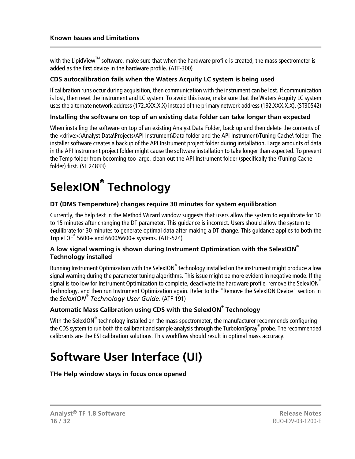with the LipidView<sup>TM</sup> software, make sure that when the hardware profile is created, the mass spectrometer is added as the first device in the hardware profile. (ATF-300)

#### **CDS autocalibration fails when the Waters Acquity LC system is being used**

If calibration runs occur during acquisition, then communication with the instrument can be lost. If communication is lost, then reset the instrument and LC system. To avoid this issue, make sure that the Waters Acquity LC system uses the alternate network address (172.XXX.X.X) instead of the primary network address (192.XXX.X.X). (ST30542)

#### **Installing the software on top of an existing data folder can take longer than expected**

When installing the software on top of an existing Analyst Data Folder, back up and then delete the contents of the <drive>:\Analyst Data\Projects\API Instrument\Data folder and the API Instrument\Tuning Cache\ folder. The installer software creates a backup of the API Instrument project folder during installation. Large amounts of data in the API Instrument project folder might cause the software installation to take longer than expected. To prevent the Temp folder from becoming too large, clean out the API Instrument folder (specifically the \Tuning Cache folder) first. (ST 24833)

# <span id="page-15-0"></span>**SelexION® Technology**

#### **DT (DMS Temperature) changes require 30 minutes for system equilibration**

Currently, the help text in the Method Wizard window suggests that users allow the system to equilibrate for 10 to 15 minutes after changing the DT parameter. This guidance is incorrect. Users should allow the system to equilibrate for 30 minutes to generate optimal data after making a DT change. This guidance applies to both the TripleTOF® 5600+ and 6600/6600+ systems. (ATF-524)

#### **A low signal warning is shown during Instrument Optimization with the SelexION® Technology installed**

Running Instrument Optimization with the SelexION $^\circ$  technology installed on the instrument might produce a low signal warning during the parameter tuning algorithms. This issue might be more evident in negative mode. If the signal is too low for Instrument Optimization to complete, deactivate the hardware profile, remove the SelexION® Technology, and then run Instrument Optimization again. Refer to the "Remove the SelexION Device" section in the *SelexION® Technology User Guide*. (ATF-191)

#### **Automatic Mass Calibration using CDS with the SelexION® Technology**

<span id="page-15-1"></span>With the SelexION $^\circ$  technology installed on the mass spectrometer, the manufacturer recommends configuring the CDS system to run both the calibrant and sample analysis through the TurboIonSpray® probe. The recommended calibrants are the ESI calibration solutions. This workflow should result in optimal mass accuracy.

## **Software User Interface (UI)**

**THe Help window stays in focus once opened**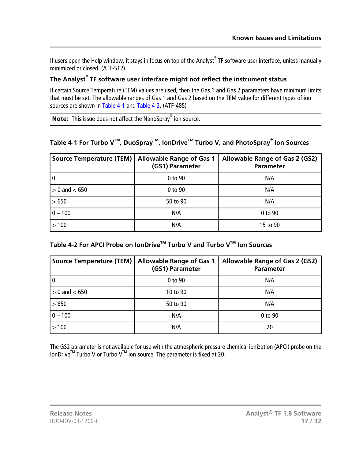If users open the Help window, it stays in focus on top of the Analyst® TF software user interface, unless manually minimized or closed. (ATF-512)

#### **The Analyst® TF software user interface might not reflect the instrument status**

If certain Source Temperature (TEM) values are used, then the Gas 1 and Gas 2 parameters have minimum limits that must be set. The allowable ranges of Gas 1 and Gas 2 based on the TEM value for different types of ion sources are shown in [Table 4-1](#page-16-0) and [Table 4-2.](#page-16-1) (ATF-485)

<span id="page-16-0"></span>**Note:** This issue does not affect the NanoSpray® ion source.

#### **Table 4-1 For Turbo VTM , DuoSprayTM , IonDriveTM Turbo V, and PhotoSpray® Ion Sources**

| <b>Source Temperature (TEM)</b> | <b>Allowable Range of Gas 1</b><br>(GS1) Parameter | Allowable Range of Gas 2 (GS2)<br>Parameter |
|---------------------------------|----------------------------------------------------|---------------------------------------------|
|                                 | 0 to 90                                            | N/A                                         |
| $> 0$ and $< 650$               | 0 to 90                                            | N/A                                         |
| >650                            | 50 to 90                                           | N/A                                         |
| $0 - 100$                       | N/A                                                | 0 to 90                                     |
| >100                            | N/A                                                | 15 to 90                                    |

#### <span id="page-16-1"></span>**Table 4-2 For APCI Probe on IonDriveTM Turbo V and Turbo VTM Ion Sources**

| <b>Source Temperature (TEM)</b> | <b>Allowable Range of Gas 1</b><br>(GS1) Parameter | <b>Allowable Range of Gas 2 (GS2)</b><br><b>Parameter</b> |
|---------------------------------|----------------------------------------------------|-----------------------------------------------------------|
|                                 | 0 to 90                                            | N/A                                                       |
| $> 0$ and $< 650$               | 10 to 90                                           | N/A                                                       |
| >650                            | 50 to 90                                           | N/A                                                       |
| $0 - 100$                       | N/A                                                | 0 to 90                                                   |
| >100                            | N/A                                                | 20                                                        |

The GS2 parameter is not available for use with the atmospheric pressure chemical ionization (APCI) probe on the IonDrive<sup>TM</sup> Turbo V or Turbo V<sup>TM</sup> ion source. The parameter is fixed at 20.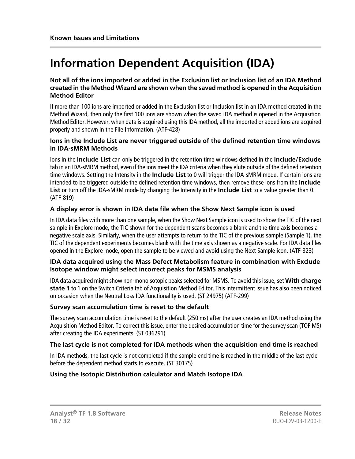## <span id="page-17-0"></span>**Information Dependent Acquisition (IDA)**

#### **Not all of the ions imported or added in the Exclusion list or Inclusion list of an IDA Method created in the Method Wizard are shown when the saved method is opened in the Acquisition Method Editor**

If more than 100 ions are imported or added in the Exclusion list or Inclusion list in an IDA method created in the Method Wizard, then only the first 100 ions are shown when the saved IDA method is opened in the Acquisition Method Editor. However, when data is acquired using this IDA method, all the imported or added ions are acquired properly and shown in the File Information. (ATF-428)

#### **Ions in the Include List are never triggered outside of the defined retention time windows in IDA-sMRM Methods**

Ions in the **Include List** can only be triggered in the retention time windows defined in the **Include/Exclude** tab in an IDA-sMRM method, even if the ions meet the IDA criteria when they elute outside of the defined retention time windows. Setting the Intensity in the **Include List** to 0 will trigger the IDA-sMRM mode. If certain ions are intended to be triggered outside the defined retention time windows, then remove these ions from the **Include List** or turn off the IDA-sMRM mode by changing the Intensity in the **Include List** to a value greater than 0. (ATF-819)

#### **A display error is shown in IDA data file when the Show Next Sample icon is used**

In IDA data files with more than one sample, when the Show Next Sample icon is used to show the TIC of the next sample in Explore mode, the TIC shown for the dependent scans becomes a blank and the time axis becomes a negative scale axis. Similarly, when the user attempts to return to the TIC of the previous sample (Sample 1), the TIC of the dependent experiments becomes blank with the time axis shown as a negative scale. For IDA data files opened in the Explore mode, open the sample to be viewed and avoid using the Next Sample icon. (ATF-323)

#### **IDA data acquired using the Mass Defect Metabolism feature in combination with Exclude Isotope window might select incorrect peaks for MSMS analysis**

IDA data acquired might show non-monoisotopic peaks selected for MSMS. To avoid this issue, set **With charge state 1** to 1 on the Switch Criteria tab of Acquisition Method Editor. This intermittent issue has also been noticed on occasion when the Neutral Loss IDA functionality is used. (ST 24975) (ATF-299)

#### **Survey scan accumulation time is reset to the default**

The survey scan accumulation time is reset to the default (250 ms) after the user creates an IDA method using the Acquisition Method Editor. To correct this issue, enter the desired accumulation time for the survey scan (TOF MS) after creating the IDA experiments. (ST 036291)

#### **The last cycle is not completed for IDA methods when the acquisition end time is reached**

In IDA methods, the last cycle is not completed if the sample end time is reached in the middle of the last cycle before the dependent method starts to execute. (ST 30175)

#### **Using the Isotopic Distribution calculator and Match Isotope IDA**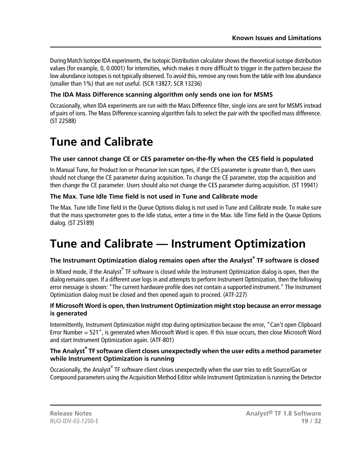During Match Isotope IDA experiments, the Isotopic Distribution calculator shows the theoretical isotope distribution values (for example, 0, 0.0001) for intensities, which makes it more difficult to trigger in the pattern because the low abundance isotopes is not typically observed. To avoid this, remove any rows from the table with low abundance (smaller than 1%) that are not useful. (SCR 13827, SCR 13236)

#### **The IDA Mass Difference scanning algorithm only sends one ion for MSMS**

Occasionally, when IDA experiments are run with the Mass Difference filter, single ions are sent for MSMS instead of pairs of ions. The Mass Difference scanning algorithm fails to select the pair with the specified mass difference. (ST 22588)

### <span id="page-18-0"></span>**Tune and Calibrate**

#### **The user cannot change CE or CES parameter on-the-fly when the CES field is populated**

In Manual Tune, for Product Ion or Precursor Ion scan types, if the CES parameter is greater than 0, then users should not change the CE parameter during acquisition. To change the CE parameter, stop the acquisition and then change the CE parameter. Users should also not change the CES parameter during acquisition. (ST 19941)

#### **The Max. Tune Idle Time field is not used in Tune and Calibrate mode**

<span id="page-18-1"></span>The Max. Tune Idle Time field in the Queue Options dialog is not used in Tune and Calibrate mode. To make sure that the mass spectrometer goes to the Idle status, enter a time in the Max. Idle Time field in the Queue Options dialog. (ST 25189)

### **Tune and Calibrate — Instrument Optimization**

#### **The Instrument Optimization dialog remains open after the Analyst® TF software is closed**

In Mixed mode, if the Analyst® TF software is closed while the Instrument Optimization dialog is open, then the dialog remains open. If a different user logs in and attempts to perform Instrument Optimization, then the following error message is shown: "The current hardware profile does not contain a supported instrument." The Instrument Optimization dialog must be closed and then opened again to proceed. (ATF-227)

#### **If Microsoft Word is open, then Instrument Optimization might stop because an error message is generated**

Intermittently, Instrument Optimization might stop during optimization because the error, "Can't open Clipboard Error Number = 521", is generated when Microsoft Word is open. If this issue occurs, then close Microsoft Word and start Instrument Optimization again. (ATF-801)

#### **The Analyst® TF software client closes unexpectedly when the user edits a method parameter while Instrument Optimization is running**

Occasionally, the Analyst® TF software client closes unexpectedly when the user tries to edit Source/Gas or Compound parameters using the Acquisition Method Editor while Instrument Optimization is running the Detector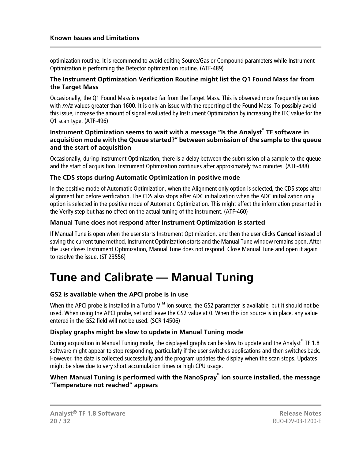optimization routine. It is recommend to avoid editing Source/Gas or Compound parameters while Instrument Optimization is performing the Detector optimization routine. (ATF-489)

#### **The Instrument Optimization Verification Routine might list the Q1 Found Mass far from the Target Mass**

Occasionally, the Q1 Found Mass is reported far from the Target Mass. This is observed more frequently on ions with *m/z* values greater than 1600. It is only an issue with the reporting of the Found Mass. To possibly avoid this issue, increase the amount of signal evaluated by Instrument Optimization by increasing the ITC value for the Q1 scan type. (ATF-496)

#### **Instrument Optimization seems to wait with a message "Is the Analyst® TF software in acquisition mode with the Queue started?" between submission of the sample to the queue and the start of acquisition**

Occasionally, during Instrument Optimization, there is a delay between the submission of a sample to the queue and the start of acquisition. Instrument Optimization continues after approximately two minutes. (ATF-488)

#### **The CDS stops during Automatic Optimization in positive mode**

In the positive mode of Automatic Optimization, when the Alignment only option is selected, the CDS stops after alignment but before verification. The CDS also stops after ADC initialization when the ADC initialization only option is selected in the positive mode of Automatic Optimization. This might affect the information presented in the Verify step but has no effect on the actual tuning of the instrument. (ATF-460)

#### **Manual Tune does not respond after Instrument Optimization is started**

<span id="page-19-0"></span>If Manual Tune is open when the user starts Instrument Optimization, and then the user clicks **Cancel** instead of saving the current tune method, Instrument Optimization starts and the Manual Tune window remains open. After the user closes Instrument Optimization, Manual Tune does not respond. Close Manual Tune and open it again to resolve the issue. (ST 23556)

### **Tune and Calibrate — Manual Tuning**

#### **GS2 is available when the APCI probe is in use**

When the APCI probe is installed in a Turbo  $V^M$  ion source, the GS2 parameter is available, but it should not be used. When using the APCI probe, set and leave the GS2 value at 0. When this ion source is in place, any value entered in the GS2 field will not be used. (SCR 14506)

#### **Display graphs might be slow to update in Manual Tuning mode**

During acquisition in Manual Tuning mode, the displayed graphs can be slow to update and the Analyst® TF 1.8 software might appear to stop responding, particularly if the user switches applications and then switches back. However, the data is collected successfully and the program updates the display when the scan stops. Updates might be slow due to very short accumulation times or high CPU usage.

#### **When Manual Tuning is performed with the NanoSpray® ion source installed, the message "Temperature not reached" appears**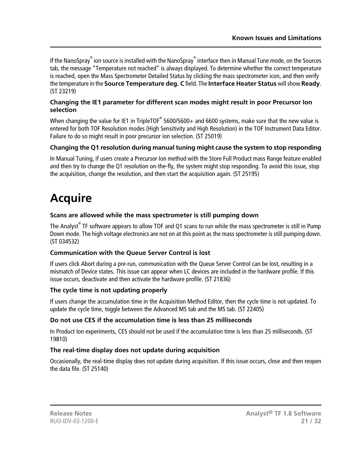If the NanoSpray<sup>®</sup> ion source is installed with the NanoSpray<sup>®</sup> interface then in Manual Tune mode, on the Sources tab, the message "Temperature not reached" is always displayed. To determine whether the correct temperature is reached, open the Mass Spectrometer Detailed Status by clicking the mass spectrometer icon, and then verify the temperature in the **Source Temperature deg. C** field. The **Interface Heater Status** will show **Ready**. (ST 23219)

#### **Changing the IE1 parameter for different scan modes might result in poor Precursor Ion selection**

When changing the value for IE1 in TripleTOF $^\circ$  5600/5600+ and 6600 systems, make sure that the new value is entered for both TOF Resolution modes (High Sensitivity and High Resolution) in the TOF Instrument Data Editor. Failure to do so might result in poor precursor ion selection. (ST 25019)

#### **Changing the Q1 resolution during manual tuning might cause the system to stop responding**

In Manual Tuning, if users create a Precursor Ion method with the Store Full Product mass Range feature enabled and then try to change the Q1 resolution on-the-fly, the system might stop responding. To avoid this issue, stop the acquisition, change the resolution, and then start the acquisition again. (ST 25195)

## <span id="page-20-0"></span>**Acquire**

#### **Scans are allowed while the mass spectrometer is still pumping down**

The Analyst<sup>®</sup> TF software appears to allow TOF and Q1 scans to run while the mass spectrometer is still in Pump Down mode. The high voltage electronics are not on at this point as the mass spectrometer is still pumping down. (ST 034532)

#### **Communication with the Queue Server Control is lost**

If users click Abort during a pre-run, communication with the Queue Server Control can be lost, resulting in a mismatch of Device states. This issue can appear when LC devices are included in the hardware profile. If this issue occurs, deactivate and then activate the hardware profile. (ST 21836)

#### **The cycle time is not updating properly**

If users change the accumulation time in the Acquisition Method Editor, then the cycle time is not updated. To update the cycle time, toggle between the Advanced MS tab and the MS tab. (ST 22405)

#### **Do not use CES if the accumulation time is less than 25 milliseconds**

In Product Ion experiments, CES should not be used if the accumulation time is less than 25 milliseconds. (ST 19810)

#### **The real-time display does not update during acquisition**

Occasionally, the real-time display does not update during acquisition. If this issue occurs, close and then reopen the data file. (ST 25140)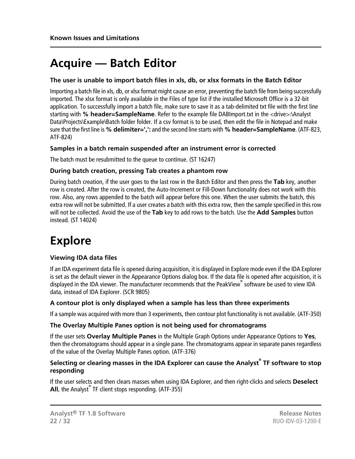### <span id="page-21-0"></span>**Acquire — Batch Editor**

#### **The user is unable to import batch files in xls, db, or xlsx formats in the Batch Editor**

Importing a batch file in xls, db, or xlsx format might cause an error, preventing the batch file from being successfully imported. The xlsx format is only available in the Files of type list if the installed Microsoft Office is a 32-bit application. To successfully import a batch file, make sure to save it as a tab-delimited txt file with the first line starting with **% header=SampleName**. Refer to the example file DABImport.txt in the <drive>:\Analyst Data\Projects\Example\Batch folder folder. If a csv format is to be used, then edit the file in Notepad and make sure that the first line is **% delimiter=',':** and the second line starts with **% header=SampleName**. (ATF-823, ATF-824)

#### **Samples in a batch remain suspended after an instrument error is corrected**

The batch must be resubmitted to the queue to continue. (ST 16247)

#### **During batch creation, pressing Tab creates a phantom row**

During batch creation, if the user goes to the last row in the Batch Editor and then press the **Tab** key, another row is created. After the row is created, the Auto-Increment or Fill-Down functionality does not work with this row. Also, any rows appended to the batch will appear before this one. When the user submits the batch, this extra row will not be submitted. If a user creates a batch with this extra row, then the sample specified in this row will not be collected. Avoid the use of the **Tab** key to add rows to the batch. Use the **Add Samples** button instead. (ST 14024)

### <span id="page-21-1"></span>**Explore**

#### **Viewing IDA data files**

If an IDA experiment data file is opened during acquisition, it is displayed in Explore mode even if the IDA Explorer is set as the default viewer in the Appearance Options dialog box. If the data file is opened after acquisition, it is displayed in the IDA viewer. The manufacturer recommends that the PeakView® software be used to view IDA data, instead of IDA Explorer. (SCR 9805)

#### **A contour plot is only displayed when a sample has less than three experiments**

If a sample was acquired with more than 3 experiments, then contour plot functionality is not available. (ATF-350)

#### **The Overlay Multiple Panes option is not being used for chromatograms**

If the user sets **Overlay Multiple Panes** in the Multiple Graph Options under Appearance Options to **Yes**, then the chromatograms should appear in a single pane. The chromatograms appear in separate panes regardless of the value of the Overlay Multiple Panes option. (ATF-376)

#### **Selecting or clearing masses in the IDA Explorer can cause the Analyst® TF software to stop responding**

If the user selects and then clears masses when using IDA Explorer, and then right-clicks and selects **Deselect All**, the Analyst® TF client stops responding. (ATF-355)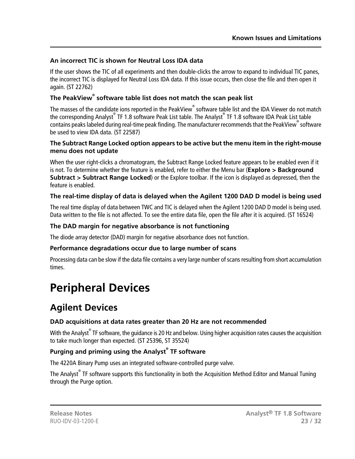#### **An incorrect TIC is shown for Neutral Loss IDA data**

If the user shows the TIC of all experiments and then double-clicks the arrow to expand to individual TIC panes, the incorrect TIC is displayed for Neutral Loss IDA data. If this issue occurs, then close the file and then open it again. (ST 22762)

#### **The PeakView® software table list does not match the scan peak list**

The masses of the candidate ions reported in the PeakView® software table list and the IDA Viewer do not match the corresponding Analyst® TF 1.8 software Peak List table. The Analyst® TF 1.8 software IDA Peak List table contains peaks labeled during real-time peak finding. The manufacturer recommends that the PeakView®software be used to view IDA data. (ST 22587)

#### **The Subtract Range Locked option appears to be active but the menu item in the right-mouse menu does not update**

When the user right-clicks a chromatogram, the Subtract Range Locked feature appears to be enabled even if it is not. To determine whether the feature is enabled, refer to either the Menu bar (**Explore > Background Subtract > Subtract Range Locked**) or the Explore toolbar. If the icon is displayed as depressed, then the feature is enabled.

#### **The real-time display of data is delayed when the Agilent 1200 DAD D model is being used**

The real time display of data between TWC and TIC is delayed when the Agilent 1200 DAD D model is being used. Data written to the file is not affected. To see the entire data file, open the file after it is acquired. (ST 16524)

#### **The DAD margin for negative absorbance is not functioning**

The diode array detector (DAD) margin for negative absorbance does not function.

#### **Performance degradations occur due to large number of scans**

<span id="page-22-0"></span>Processing data can be slow if the data file contains a very large number of scans resulting from short accumulation times.

### <span id="page-22-1"></span>**Peripheral Devices**

### **Agilent Devices**

#### **DAD acquisitions at data rates greater than 20 Hz are not recommended**

With the Analyst® TF software, the guidance is 20 Hz and below. Using higher acquisition rates causes the acquisition to take much longer than expected. (ST 25396, ST 35524)

#### **Purging and priming using the Analyst® TF software**

The 4220A Binary Pump uses an integrated software-controlled purge valve.

The Analyst<sup>®</sup> TF software supports this functionality in both the Acquisition Method Editor and Manual Tuning through the Purge option.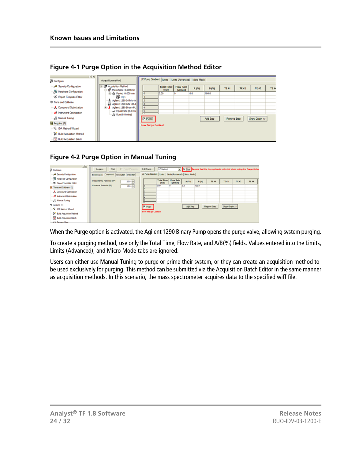| 区区<br><b>B</b> Configure                                              | Acquisition method                                                                                         | LC Pump Gradient   Limits   Limits (Advanced)   Micro Mode |                            |                              |       |          |              |              |               |
|-----------------------------------------------------------------------|------------------------------------------------------------------------------------------------------------|------------------------------------------------------------|----------------------------|------------------------------|-------|----------|--------------|--------------|---------------|
| Security Configuration<br>Hardware Configuration                      | <b>E-RI Acquisition Method</b><br>Mass Spec 0.000 min                                                      |                                                            | <b>Total Time</b><br>(min) | <b>Flow Rate</b><br>(pl/min) | A (%) | B(5)     | <b>TE #1</b> | <b>TE #2</b> | TE #3         |
| S Report Template Editor<br><b>III: Tune and Calbrate</b>             | B & Period 0.000 min<br><b>第 +Q1</b><br>Aglent 1290 Infinity A                                             | ۱٥<br>12                                                   | 0.00                       |                              | 0.0   | 100.0    |              |              |               |
| A Compound Optimization<br>All Instrument Optimization                | 23<br>Aglent 1290 G4212A1<br>Aglient 1290 Binary Pu<br>8-1<br>-<< Equilibrate (0.0 mil<br>x Run (0.0 mins) | и<br>ß                                                     |                            |                              |       |          |              |              |               |
| <b>Kanual Tuning</b><br>To enjoy (1)                                  |                                                                                                            | $\nabla$ Purge                                             |                            |                              |       | Add Step | Remove Step  |              | Show Graph >> |
| V: IDA Method Wizard                                                  |                                                                                                            | <b>New Purge Control</b>                                   |                            |                              |       |          |              |              |               |
| <b>Build Acquisition Method</b><br>- <b>F</b> Build Acquisition Batch |                                                                                                            |                                                            |                            |                              |       |          |              |              |               |

**Figure 4-1 Purge Option in the Acquisition Method Editor**

#### **Figure 4-2 Purge Option in Manual Tuning**

| $\mathbb{E}[\mathbf{x}]$          | F Ramp Parameter<br>Stat<br>Acquire     | Edit Ramp<br>LC Method                                     | $\boxed{\times}$ $\boxed{\text{[}^{\prime}$ Use that the Use option is selected when using the Purge Opti |       |                    |               |       |       |
|-----------------------------------|-----------------------------------------|------------------------------------------------------------|-----------------------------------------------------------------------------------------------------------|-------|--------------------|---------------|-------|-------|
| <b>B</b> Configure                |                                         |                                                            |                                                                                                           |       |                    |               |       |       |
| Security Configuration            | Source/Gas Compound Resolution Detector | LC Pump Gradient   Limits   Limits (Advanced)   Micro Mode |                                                                                                           |       |                    |               |       |       |
| Hardware Configuration            | Declustering Potential (DP)             | <b>Total Time</b><br><b>Flow Rate</b>                      |                                                                                                           |       |                    |               |       |       |
| X Report Template Editor          | $20.0 -$                                | denin's                                                    | A (%)<br>(pil/min)                                                                                        | 8.053 | TE #1              | <b>TE #2</b>  | TE #3 | TE 84 |
| Tune and Calbrate (1)             | Entrance Potential (EP)<br>$10.0 -$     | 0.00                                                       | 0.0                                                                                                       | 100.0 |                    |               |       |       |
| A. Compound Optimization          |                                         |                                                            |                                                                                                           |       |                    |               |       |       |
| Al Instrument Optimization        |                                         |                                                            |                                                                                                           |       |                    |               |       |       |
| - & Manual Tuning                 |                                         |                                                            |                                                                                                           |       |                    |               |       |       |
| 10 Acquire (1)                    |                                         | <b>P</b> Purge                                             | Add Step                                                                                                  |       | <b>Regove Step</b> | Show Graph 33 |       |       |
| N: IDA Method Waard               |                                         |                                                            |                                                                                                           |       |                    |               |       |       |
| <b>E</b> Build Acquisition Method |                                         | <b>Hew Purge Control</b>                                   |                                                                                                           |       |                    |               |       |       |
| <b>TT</b> Build Acquisition Batch |                                         |                                                            |                                                                                                           |       |                    |               |       |       |
| <b>SPE Fennish Mass</b>           |                                         |                                                            |                                                                                                           |       |                    |               |       |       |

When the Purge option is activated, the Agilent 1290 Binary Pump opens the purge valve, allowing system purging.

To create a purging method, use only the Total Time, Flow Rate, and A/B(%) fields. Values entered into the Limits, Limits (Advanced), and Micro Mode tabs are ignored.

Users can either use Manual Tuning to purge or prime their system, or they can create an acquisition method to be used exclusively for purging. This method can be submitted via the Acquisition Batch Editor in the same manner as acquisition methods. In this scenario, the mass spectrometer acquires data to the specified wiff file.

TE A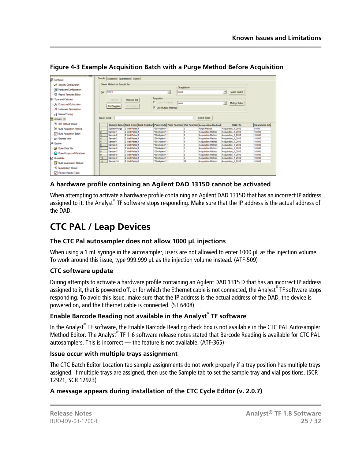| ाख<br><b>RB</b> Configure         |                      | Sample Locations Quantitation Submit |                   |                        |   |              |                                                                                                |                |                    |                 |
|-----------------------------------|----------------------|--------------------------------------|-------------------|------------------------|---|--------------|------------------------------------------------------------------------------------------------|----------------|--------------------|-----------------|
| Security Configuration            |                      | Select Method for Sample Set         |                   |                        |   |              |                                                                                                |                |                    |                 |
| Hardware Configuration            |                      |                                      |                   |                        |   | Quantitation |                                                                                                |                |                    |                 |
|                                   |                      | Set: SET1                            |                   |                        | 츠 | none         |                                                                                                | $\blacksquare$ | <b>Quick Quart</b> |                 |
| <b>35</b> Report Template Editor  |                      |                                      |                   |                        |   |              |                                                                                                |                |                    |                 |
| 181 Tune and Calibrate            |                      | Add Set                              | <b>Bemove Set</b> | Acquisition            |   |              |                                                                                                |                |                    |                 |
| A. Compound Optimization          |                      |                                      |                   | Use as Template        |   | Inone        |                                                                                                | $\blacksquare$ | Method Editor      |                 |
| Al Instrument Optimization        |                      | <b>Add Samples</b>                   | Del Samples       | V Use Multiple Methods |   |              |                                                                                                |                |                    |                 |
| R Manual Tuning                   |                      |                                      |                   |                        |   |              |                                                                                                |                |                    |                 |
| Pd Acquire (1)                    | <b>Batch Script:</b> |                                      |                   |                        |   |              | Select Sgript                                                                                  |                |                    |                 |
| U. IDA Method Wizard              |                      |                                      |                   |                        |   |              | Sample Name Rack Code Rack Position Plate Code Plate Position Vial Position Acquisition Method |                | <b>Data File</b>   | Inj.Volume (pl) |
| <b>In Build Acquistion Method</b> |                      | System Purge                         | 2 Well Plates 1   | "384Agilent" 1         |   |              | <b>Purge Method</b>                                                                            |                | Acquisition 1 2010 | 0.100           |
| <b>Build Acquisition Batch</b>    | 2                    | Sample 1                             | 2 Well Plates 1   | *384Agilent* 1         |   |              | <b>Acquisition Method</b>                                                                      |                | Acquisition_1_2010 | 10,000          |
|                                   |                      | Sample 2                             | 2 Well Plates 1   | "384Aglent" 1          |   |              | Acquisition Method                                                                             |                | Acquisition 1 2010 | 10,000          |
| 27 Express View                   | ٠                    | Sample 3                             | 2 Well Plates 1   | *384Agilent* 1         |   |              | Acquisition Method                                                                             |                | Acquisition 1 2010 | 10,000          |
| & Explore                         | ĸ                    | Sample 4                             | 2 Well Plates 1   | "384Agilent" 1         |   |              | Acquisition Method                                                                             |                | Acquisition 1 2010 | 10.000          |
|                                   | 6                    | Sample 5                             | 2 Well Plates 1   | "384Aglent" 1          |   |              | Acquisition Method                                                                             |                | Acquisition 1 2010 | 10,000          |
| Cal Open Data File                |                      | Sample 6                             | 2 Well Plates 1   | "384Aglent" 1          |   |              | Acquisition Method                                                                             |                | Acquisition 1 2010 | 10,000          |
| Copen Compound Database           | 8                    | Sample 7                             | 2 Well Plates 1   | "384Aglent" 1          |   |              | Acquisition Method                                                                             |                | Acquisition 1 2010 | 10.000          |
|                                   | g.                   | Sample 8                             | 2 Well Plates 1   | "384Aglent" 1          |   |              | Acquisition Method                                                                             |                | Acquisition 1 2010 | 10,000          |
| Quantitate                        | 10                   | Sample 9                             | 2 Well Plates 1   | "384Aglent" 1          |   | B            | Acquisition Method                                                                             |                | Acquisition 1 2010 | 10,000          |
| <b>Build Quantitation Method</b>  | 11                   | Sample 10                            | 2 Well Plates 1   | "384Aglent" 1          |   | 10           | Acquisition Method                                                                             |                | Acquisition 1 2010 | 10.000          |
|                                   |                      |                                      |                   |                        |   |              |                                                                                                |                |                    |                 |
| Cuantistion Wizard                |                      |                                      |                   |                        |   |              |                                                                                                |                |                    |                 |

**Figure 4-3 Example Acquisition Batch with a Purge Method Before Acquisition**

#### **A hardware profile containing an Agilent DAD 1315D cannot be activated**

<span id="page-24-0"></span>When attempting to activate a hardware profile containing an Agilent DAD 1315D that has an incorrect IP address assigned to it, the Analyst<sup>®</sup> TF software stops responding. Make sure that the IP address is the actual address of the DAD.

### **CTC PAL / Leap Devices**

#### **The CTC Pal autosampler does not allow 1000 µL injections**

When using a 1 mL syringe in the autosampler, users are not allowed to enter 1000 µL as the injection volume. To work around this issue, type 999.999 µL as the injection volume instead. (ATF-509)

#### **CTC software update**

During attempts to activate a hardware profile containing an Agilent DAD 1315 D that has an incorrect IP address assigned to it, that is powered off, or for which the Ethernet cable is not connected, the Analyst® TF software stops responding. To avoid this issue, make sure that the IP address is the actual address of the DAD, the device is powered on, and the Ethernet cable is connected. (ST 6408)

#### **Enable Barcode Reading not available in the Analyst® TF software**

In the Analyst® TF software, the Enable Barcode Reading check box is not available in the CTC PAL Autosampler Method Editor. The Analyst® TF 1.6 software release notes stated that Barcode Reading is available for CTC PAL autosamplers. This is incorrect — the feature is not available. (ATF-365)

#### **Issue occur with multiple trays assignment**

The CTC Batch Editor Location tab sample assignments do not work properly if a tray position has multiple trays assigned. If multiple trays are assigned, then use the Sample tab to set the sample tray and vial positions. (SCR 12921, SCR 12923)

#### **A message appears during installation of the CTC Cycle Editor (v. 2.0.7)**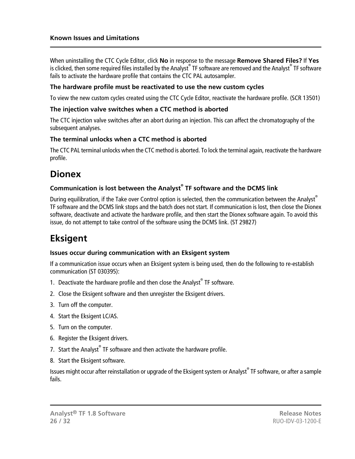When uninstalling the CTC Cycle Editor, click **No** in response to the message **Remove Shared Files?** If **Yes** is clicked, then some required files installed by the Analyst® TF software are removed and the Analyst® TF software fails to activate the hardware profile that contains the CTC PAL autosampler.

#### **The hardware profile must be reactivated to use the new custom cycles**

To view the new custom cycles created using the CTC Cycle Editor, reactivate the hardware profile. (SCR 13501)

#### **The injection valve switches when a CTC method is aborted**

The CTC injection valve switches after an abort during an injection. This can affect the chromatography of the subsequent analyses.

#### **The terminal unlocks when a CTC method is aborted**

<span id="page-25-0"></span>The CTC PAL terminal unlocks when the CTC method is aborted. To lock the terminal again, reactivate the hardware profile.

### **Dionex**

#### **Communication is lost between the Analyst® TF software and the DCMS link**

<span id="page-25-1"></span>During equilibration, if the Take over Control option is selected, then the communication between the Analyst® TF software and the DCMS link stops and the batch does not start. If communication is lost, then close the Dionex software, deactivate and activate the hardware profile, and then start the Dionex software again. To avoid this issue, do not attempt to take control of the software using the DCMS link. (ST 29827)

### **Eksigent**

#### **Issues occur during communication with an Eksigent system**

If a communication issue occurs when an Eksigent system is being used, then do the following to re-establish communication (ST 030395):

- 1. Deactivate the hardware profile and then close the Analyst $\degree$  TF software.
- 2. Close the Eksigent software and then unregister the Eksigent drivers.
- 3. Turn off the computer.
- 4. Start the Eksigent LC/AS.
- 5. Turn on the computer.
- 6. Register the Eksigent drivers.
- 7. Start the Analyst® TF software and then activate the hardware profile.
- 8. Start the Eksigent software.

Issues might occur after reinstallation or upgrade of the Eksigent system or Analyst® TF software, or after a sample fails.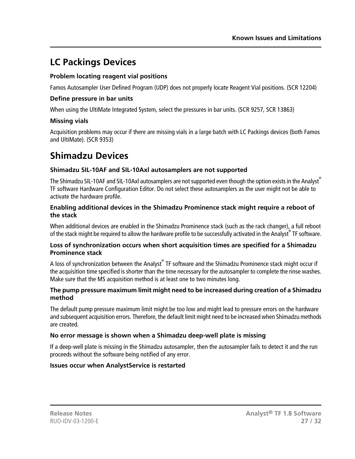### <span id="page-26-0"></span>**LC Packings Devices**

#### **Problem locating reagent vial positions**

Famos Autosampler User Defined Program (UDP) does not properly locate Reagent Vial positions. (SCR 12204)

#### **Define pressure in bar units**

When using the UltiMate Integrated System, select the pressures in bar units. (SCR 9257, SCR 13863)

#### **Missing vials**

<span id="page-26-1"></span>Acquisition problems may occur if there are missing vials in a large batch with LC Packings devices (both Famos and UltiMate). (SCR 9353)

### **Shimadzu Devices**

#### **Shimadzu SIL-10AF and SIL-10Axl autosamplers are not supported**

The Shimadzu SIL-10AF and SIL-10Axl autosamplers are not supported even though the option exists in the Analyst® TF software Hardware Configuration Editor. Do not select these autosamplers as the user might not be able to activate the hardware profile.

#### **Enabling additional devices in the Shimadzu Prominence stack might require a reboot of the stack**

When additional devices are enabled in the Shimadzu Prominence stack (such as the rack changer), a full reboot of the stack might be required to allow the hardware profile to be successfully activated in the Analyst® TF software.

#### **Loss of synchronization occurs when short acquisition times are specified for a Shimadzu Prominence stack**

A loss of synchronization between the Analyst $^\circ$  TF software and the Shimadzu Prominence stack might occur if the acquisition time specified is shorter than the time necessary for the autosampler to complete the rinse washes. Make sure that the MS acquisition method is at least one to two minutes long.

#### **The pump pressure maximum limit might need to be increased during creation of a Shimadzu method**

The default pump pressure maximum limit might be too low and might lead to pressure errors on the hardware and subsequent acquisition errors. Therefore, the default limit might need to be increased when Shimadzu methods are created.

#### **No error message is shown when a Shimadzu deep-well plate is missing**

If a deep-well plate is missing in the Shimadzu autosampler, then the autosampler fails to detect it and the run proceeds without the software being notified of any error.

#### **Issues occur when AnalystService is restarted**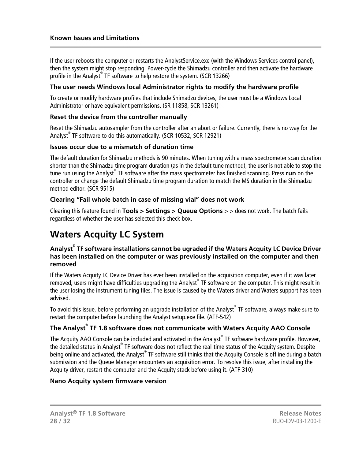If the user reboots the computer or restarts the AnalystService.exe (with the Windows Services control panel), then the system might stop responding. Power-cycle the Shimadzu controller and then activate the hardware profile in the Analyst® TF software to help restore the system. (SCR 13266)

#### **The user needs Windows local Administrator rights to modify the hardware profile**

To create or modify hardware profiles that include Shimadzu devices, the user must be a Windows Local Administrator or have equivalent permissions. (SR 11858, SCR 13261)

#### **Reset the device from the controller manually**

Reset the Shimadzu autosampler from the controller after an abort or failure. Currently, there is no way for the Analyst® TF software to do this automatically. (SCR 10532, SCR 12921)

#### **Issues occur due to a mismatch of duration time**

The default duration for Shimadzu methods is 90 minutes. When tuning with a mass spectrometer scan duration shorter than the Shimadzu time program duration (as in the default tune method), the user is not able to stop the tune run using the Analyst® TF software after the mass spectrometer has finished scanning. Press **run** on the controller or change the default Shimadzu time program duration to match the MS duration in the Shimadzu method editor. (SCR 9515)

#### **Clearing "Fail whole batch in case of missing vial" does not work**

<span id="page-27-0"></span>Clearing this feature found in **Tools > Settings > Queue Options** > > does not work. The batch fails regardless of whether the user has selected this check box.

### **Waters Acquity LC System**

#### **Analyst® TF software installations cannot be ugraded if the Waters Acquity LC Device Driver has been installed on the computer or was previously installed on the computer and then removed**

If the Waters Acquity LC Device Driver has ever been installed on the acquisition computer, even if it was later removed, users might have difficulties upgrading the Analyst® TF software on the computer. This might result in the user losing the instrument tuning files. The issue is caused by the Waters driver and Waters support has been advised.

To avoid this issue, before performing an upgrade installation of the Analyst® TF software, always make sure to restart the computer before launching the Analyst setup.exe file. (ATF-542)

#### **The Analyst® TF 1.8 software does not communicate with Waters Acquity AAO Console**

The Acquity AAO Console can be included and activated in the Analyst® TF software hardware profile. However, the detailed status in Analyst® TF software does not reflect the real-time status of the Acquity system. Despite being online and activated, the Analyst® TF software still thinks that the Acquity Console is offline during a batch submission and the Queue Manager encounters an acquisition error. To resolve this issue, after installing the Acquity driver, restart the computer and the Acquity stack before using it. (ATF-310)

#### **Nano Acquity system firmware version**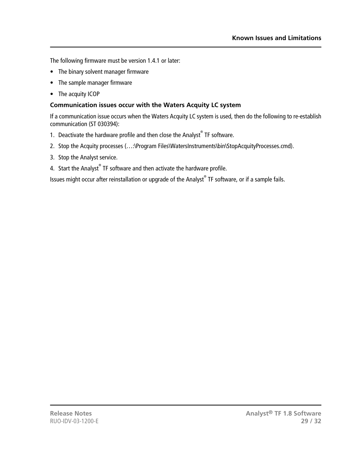The following firmware must be version 1.4.1 or later:

- The binary solvent manager firmware
- The sample manager firmware
- The acquity ICOP

#### **Communication issues occur with the Waters Acquity LC system**

If a communication issue occurs when the Waters Acquity LC system is used, then do the following to re-establish communication (ST 030394):

- 1. Deactivate the hardware profile and then close the Analyst $\degree$  TF software.
- 2. Stop the Acquity processes (...:\Program Files\WatersInstruments\bin\StopAcquityProcesses.cmd).
- 3. Stop the Analyst service.
- 4. Start the Analyst $^{\circ}$  TF software and then activate the hardware profile.

Issues might occur after reinstallation or upgrade of the Analyst® TF software, or if a sample fails.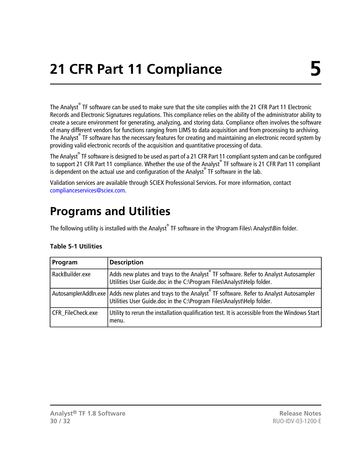<span id="page-29-0"></span>The Analyst<sup>®</sup> TF software can be used to make sure that the site complies with the 21 CFR Part 11 Electronic Records and Electronic Signatures regulations. This compliance relies on the ability of the administrator ability to create a secure environment for generating, analyzing, and storing data. Compliance often involves the software of many different vendors for functions ranging from LIMS to data acquisition and from processing to archiving. The Analyst® TF software has the necessary features for creating and maintaining an electronic record system by providing valid electronic records of the acquisition and quantitative processing of data.

The Analyst<sup>®</sup> TF software is designed to be used as part of a 21 CFR Part 11 compliant system and can be configured to support 21 CFR Part 11 compliance. Whether the use of the Analyst® TF software is 21 CFR Part 11 compliant is dependent on the actual use and configuration of the Analyst® TF software in the lab.

<span id="page-29-1"></span>Validation services are available through SCIEX Professional Services. For more information, contact [complianceservices@sciex.com.](mailto:complianceservices@sciex.com)

### **Programs and Utilities**

The following utility is installed with the Analyst $^\circ$  TF software in the **\Program Files\ Analyst\Bin folder**.

| Program           | <b>Description</b>                                                                                                                                                                 |
|-------------------|------------------------------------------------------------------------------------------------------------------------------------------------------------------------------------|
| RackBuilder.exe   | Adds new plates and trays to the Analyst <sup>®</sup> TF software. Refer to Analyst Autosampler<br>Utilities User Guide.doc in the C:\Program Files\Analyst\Help folder.           |
|                   | AutosamplerAddln.exe   Adds new plates and trays to the Analyst TF software. Refer to Analyst Autosampler<br>Utilities User Guide.doc in the C:\Program Files\Analyst\Help folder. |
| CFR FileCheck.exe | Utility to rerun the installation qualification test. It is accessible from the Windows Start<br>menu.                                                                             |

#### **Table 5-1 Utilities**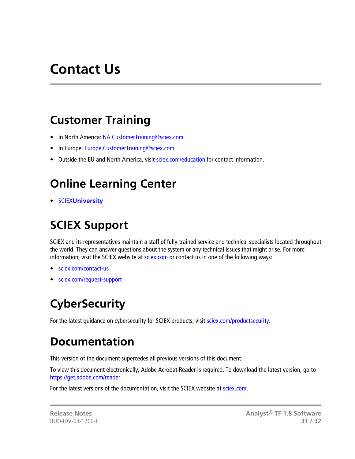# **Contact Us**

### <span id="page-30-1"></span><span id="page-30-0"></span>**Customer Training**

- In North America: [NA.CustomerTraining@sciex.com](mailto:NA.CustomerTraining@sciex.com)
- In Europe: [Europe.CustomerTraining@sciex.com](mailto:Europe.CustomerTraining@sciex.com)
- <span id="page-30-2"></span>• Outside the EU and North America, visit [sciex.com/education](https://sciex.com/education) for contact information.

## **Online Learning Center**

<span id="page-30-3"></span>• SCIEX**[University](https://training.sciex.com)**

## **SCIEX Support**

SCIEX and its representatives maintain a staff of fully-trained service and technical specialists located throughout the world. They can answer questions about the system or any technical issues that might arise. For more information, visit the SCIEX website at [sciex.com](https://sciex.com) or contact us in one of the following ways:

- <span id="page-30-4"></span>• [sciex.com/contact-us](https://sciex.com/contact-us)
- [sciex.com/request-support](https://sciex.com/request-support)

# <span id="page-30-5"></span>**CyberSecurity**

For the latest guidance on cybersecurity for SCIEX products, visit [sciex.com/productsecurity](https://sciex.com/productsecurity).

## **Documentation**

This version of the document supercedes all previous versions of this document.

To view this document electronically, Adobe Acrobat Reader is required. To download the latest version, go to [https://get.adobe.com/reader.](https://get.adobe.com/reader)

For the latest versions of the documentation, visit the SCIEX website at [sciex.com](https://sciex.com).